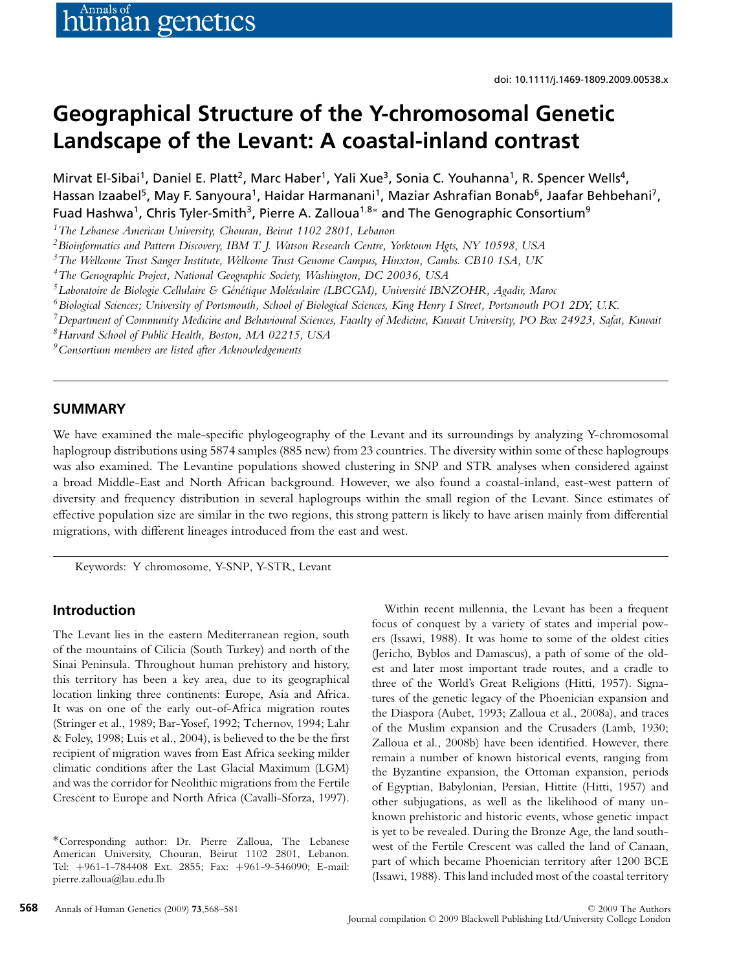# **Geographical Structure of the Y-chromosomal Genetic Landscape of the Levant: A coastal-inland contrast**

Mirvat El-Sibai<sup>1</sup>, Daniel E. Platt<sup>2</sup>, Marc Haber<sup>1</sup>, Yali Xue<sup>3</sup>, Sonia C. Youhanna<sup>1</sup>, R. Spencer Wells<sup>4</sup>, Hassan Izaabel<sup>5</sup>, May F. Sanyoura<sup>1</sup>, Haidar Harmanani<sup>1</sup>, Maziar Ashrafian Bonab<sup>6</sup>, Jaafar Behbehani<sup>7</sup>, Fuad Hashwa<sup>1</sup>, Chris Tyler-Smith<sup>3</sup>, Pierre A. Zalloua<sup>1,8∗</sup> and The Genographic Consortium<sup>9</sup>

*1The Lebanese American University, Chouran, Beirut 1102 2801, Lebanon*

*2Bioinformatics and Pattern Discovery, IBM T. J. Watson Research Centre, Yorktown Hgts, NY 10598, USA*

*3The Wellcome Trust Sanger Institute, Wellcome Trust Genome Campus, Hinxton, Cambs. CB10 1SA, UK*

*4The Genographic Project, National Geographic Society, Washington, DC 20036, USA*

*5Laboratoire de Biologie Cellulaire & Gen´ etique Mol ´ eculaire (LBCGM), Universit ´ e IBNZOHR, Agadir, Maroc ´*

*6Biological Sciences; University of Portsmouth, School of Biological Sciences, King Henry I Street, Portsmouth PO1 2DY, U.K.*

*7Department of Community Medicine and Behavioural Sciences, Faculty of Medicine, Kuwait University, PO Box 24923, Safat, Kuwait*

*8Harvard School of Public Health, Boston, MA 02215, USA*

*9Consortium members are listed after Acknowledgements*

## **SUMMARY**

We have examined the male-specific phylogeography of the Levant and its surroundings by analyzing Y-chromosomal haplogroup distributions using 5874 samples (885 new) from 23 countries. The diversity within some of these haplogroups was also examined. The Levantine populations showed clustering in SNP and STR analyses when considered against a broad Middle-East and North African background. However, we also found a coastal-inland, east-west pattern of diversity and frequency distribution in several haplogroups within the small region of the Levant. Since estimates of effective population size are similar in the two regions, this strong pattern is likely to have arisen mainly from differential migrations, with different lineages introduced from the east and west.

Keywords: Y chromosome, Y-SNP, Y-STR, Levant

# **Introduction**

The Levant lies in the eastern Mediterranean region, south of the mountains of Cilicia (South Turkey) and north of the Sinai Peninsula. Throughout human prehistory and history, this territory has been a key area, due to its geographical location linking three continents: Europe, Asia and Africa. It was on one of the early out-of-Africa migration routes (Stringer et al., 1989; Bar-Yosef, 1992; Tchernov, 1994; Lahr & Foley, 1998; Luis et al., 2004), is believed to the be the first recipient of migration waves from East Africa seeking milder climatic conditions after the Last Glacial Maximum (LGM) and was the corridor for Neolithic migrations from the Fertile Crescent to Europe and North Africa (Cavalli-Sforza, 1997).

Within recent millennia, the Levant has been a frequent focus of conquest by a variety of states and imperial powers (Issawi, 1988). It was home to some of the oldest cities (Jericho, Byblos and Damascus), a path of some of the oldest and later most important trade routes, and a cradle to three of the World's Great Religions (Hitti, 1957). Signatures of the genetic legacy of the Phoenician expansion and the Diaspora (Aubet, 1993; Zalloua et al., 2008a), and traces of the Muslim expansion and the Crusaders (Lamb, 1930; Zalloua et al., 2008b) have been identified. However, there remain a number of known historical events, ranging from the Byzantine expansion, the Ottoman expansion, periods of Egyptian, Babylonian, Persian, Hittite (Hitti, 1957) and other subjugations, as well as the likelihood of many unknown prehistoric and historic events, whose genetic impact is yet to be revealed. During the Bronze Age, the land southwest of the Fertile Crescent was called the land of Canaan, part of which became Phoenician territory after 1200 BCE (Issawi, 1988). This land included most of the coastal territory

<sup>∗</sup>Corresponding author: Dr. Pierre Zalloua, The Lebanese American University, Chouran, Beirut 1102 2801, Lebanon. Tel: +961-1-784408 Ext. 2855; Fax: +961-9-546090; E-mail: pierre.zalloua@lau.edu.lb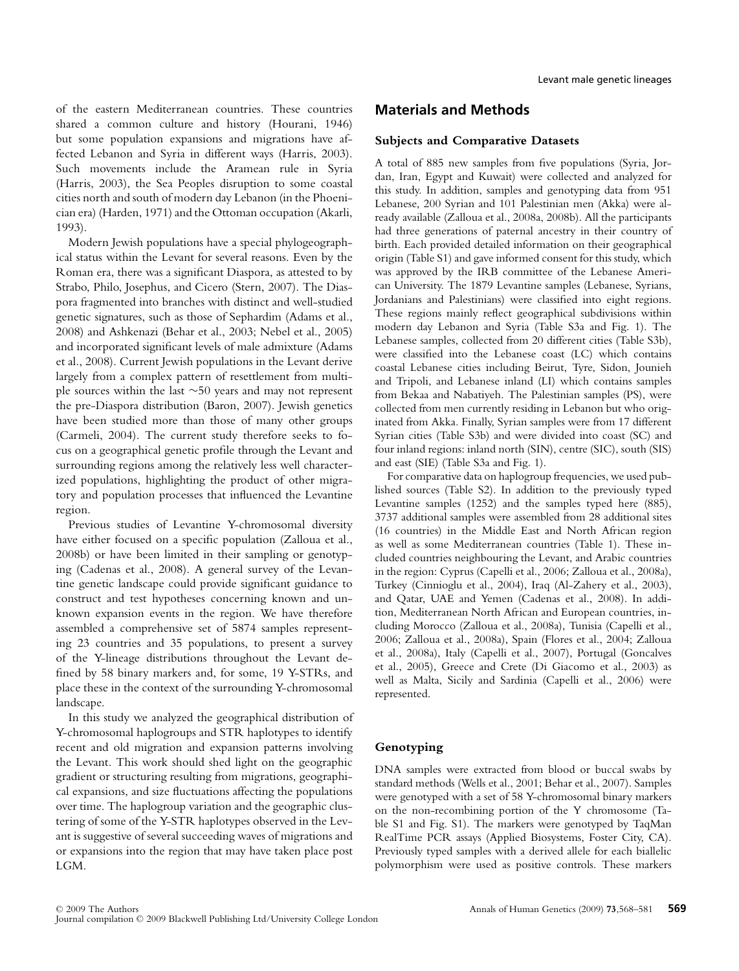of the eastern Mediterranean countries. These countries shared a common culture and history (Hourani, 1946) but some population expansions and migrations have affected Lebanon and Syria in different ways (Harris, 2003). Such movements include the Aramean rule in Syria (Harris, 2003), the Sea Peoples disruption to some coastal cities north and south of modern day Lebanon (in the Phoenician era) (Harden, 1971) and the Ottoman occupation (Akarli, 1993).

Modern Jewish populations have a special phylogeographical status within the Levant for several reasons. Even by the Roman era, there was a significant Diaspora, as attested to by Strabo, Philo, Josephus, and Cicero (Stern, 2007). The Diaspora fragmented into branches with distinct and well-studied genetic signatures, such as those of Sephardim (Adams et al., 2008) and Ashkenazi (Behar et al., 2003; Nebel et al., 2005) and incorporated significant levels of male admixture (Adams et al., 2008). Current Jewish populations in the Levant derive largely from a complex pattern of resettlement from multiple sources within the last ∼50 years and may not represent the pre-Diaspora distribution (Baron, 2007). Jewish genetics have been studied more than those of many other groups (Carmeli, 2004). The current study therefore seeks to focus on a geographical genetic profile through the Levant and surrounding regions among the relatively less well characterized populations, highlighting the product of other migratory and population processes that influenced the Levantine region.

Previous studies of Levantine Y-chromosomal diversity have either focused on a specific population (Zalloua et al., 2008b) or have been limited in their sampling or genotyping (Cadenas et al., 2008). A general survey of the Levantine genetic landscape could provide significant guidance to construct and test hypotheses concerning known and unknown expansion events in the region. We have therefore assembled a comprehensive set of 5874 samples representing 23 countries and 35 populations, to present a survey of the Y-lineage distributions throughout the Levant defined by 58 binary markers and, for some, 19 Y-STRs, and place these in the context of the surrounding Y-chromosomal landscape.

In this study we analyzed the geographical distribution of Y-chromosomal haplogroups and STR haplotypes to identify recent and old migration and expansion patterns involving the Levant. This work should shed light on the geographic gradient or structuring resulting from migrations, geographical expansions, and size fluctuations affecting the populations over time. The haplogroup variation and the geographic clustering of some of the Y-STR haplotypes observed in the Levant is suggestive of several succeeding waves of migrations and or expansions into the region that may have taken place post LGM.

# **Materials and Methods**

## **Subjects and Comparative Datasets**

A total of 885 new samples from five populations (Syria, Jordan, Iran, Egypt and Kuwait) were collected and analyzed for this study. In addition, samples and genotyping data from 951 Lebanese, 200 Syrian and 101 Palestinian men (Akka) were already available (Zalloua et al., 2008a, 2008b). All the participants had three generations of paternal ancestry in their country of birth. Each provided detailed information on their geographical origin (Table S1) and gave informed consent for this study, which was approved by the IRB committee of the Lebanese American University. The 1879 Levantine samples (Lebanese, Syrians, Jordanians and Palestinians) were classified into eight regions. These regions mainly reflect geographical subdivisions within modern day Lebanon and Syria (Table S3a and Fig. 1). The Lebanese samples, collected from 20 different cities (Table S3b), were classified into the Lebanese coast (LC) which contains coastal Lebanese cities including Beirut, Tyre, Sidon, Jounieh and Tripoli, and Lebanese inland (LI) which contains samples from Bekaa and Nabatiyeh. The Palestinian samples (PS), were collected from men currently residing in Lebanon but who originated from Akka. Finally, Syrian samples were from 17 different Syrian cities (Table S3b) and were divided into coast (SC) and four inland regions: inland north (SIN), centre (SIC), south (SIS) and east (SIE) (Table S3a and Fig. 1).

For comparative data on haplogroup frequencies, we used published sources (Table S2). In addition to the previously typed Levantine samples (1252) and the samples typed here (885), 3737 additional samples were assembled from 28 additional sites (16 countries) in the Middle East and North African region as well as some Mediterranean countries (Table 1). These included countries neighbouring the Levant, and Arabic countries in the region: Cyprus (Capelli et al., 2006; Zalloua et al., 2008a), Turkey (Cinnioglu et al., 2004), Iraq (Al-Zahery et al., 2003), and Qatar, UAE and Yemen (Cadenas et al., 2008). In addition, Mediterranean North African and European countries, including Morocco (Zalloua et al., 2008a), Tunisia (Capelli et al., 2006; Zalloua et al., 2008a), Spain (Flores et al., 2004; Zalloua et al., 2008a), Italy (Capelli et al., 2007), Portugal (Goncalves et al., 2005), Greece and Crete (Di Giacomo et al., 2003) as well as Malta, Sicily and Sardinia (Capelli et al., 2006) were represented.

## **Genotyping**

DNA samples were extracted from blood or buccal swabs by standard methods (Wells et al., 2001; Behar et al., 2007). Samples were genotyped with a set of 58 Y-chromosomal binary markers on the non-recombining portion of the Y chromosome (Table S1 and Fig. S1). The markers were genotyped by TaqMan RealTime PCR assays (Applied Biosystems, Foster City, CA). Previously typed samples with a derived allele for each biallelic polymorphism were used as positive controls. These markers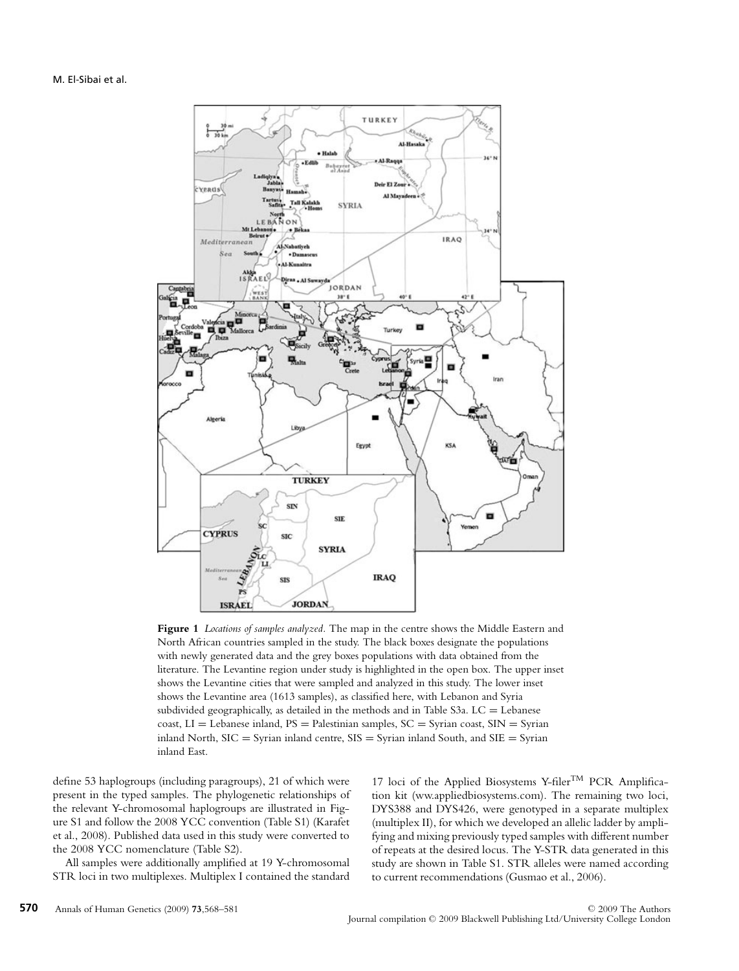

**Figure 1** *Locations of samples analyzed.* The map in the centre shows the Middle Eastern and North African countries sampled in the study. The black boxes designate the populations with newly generated data and the grey boxes populations with data obtained from the literature. The Levantine region under study is highlighted in the open box. The upper inset shows the Levantine cities that were sampled and analyzed in this study. The lower inset shows the Levantine area (1613 samples), as classified here, with Lebanon and Syria subdivided geographically, as detailed in the methods and in Table S3a.  $LC =$  Lebanese coast,  $LI = Lebanese$  inland,  $PS = Palestinian$  samples,  $SC = Syrian$  coast,  $SIN = Syrian$ inland North,  $SIC = Syr$ ian inland centre,  $SIS = Syr$ ian inland South, and  $SIE = Syr$ ian inland East.

define 53 haplogroups (including paragroups), 21 of which were present in the typed samples. The phylogenetic relationships of the relevant Y-chromosomal haplogroups are illustrated in Figure S1 and follow the 2008 YCC convention (Table S1) (Karafet et al., 2008). Published data used in this study were converted to the 2008 YCC nomenclature (Table S2).

All samples were additionally amplified at 19 Y-chromosomal STR loci in two multiplexes. Multiplex I contained the standard 17 loci of the Applied Biosystems Y-filer<sup>TM</sup> PCR Amplification kit (ww.appliedbiosystems.com). The remaining two loci, DYS388 and DYS426, were genotyped in a separate multiplex (multiplex II), for which we developed an allelic ladder by amplifying and mixing previously typed samples with different number of repeats at the desired locus. The Y-STR data generated in this study are shown in Table S1. STR alleles were named according to current recommendations (Gusmao et al., 2006).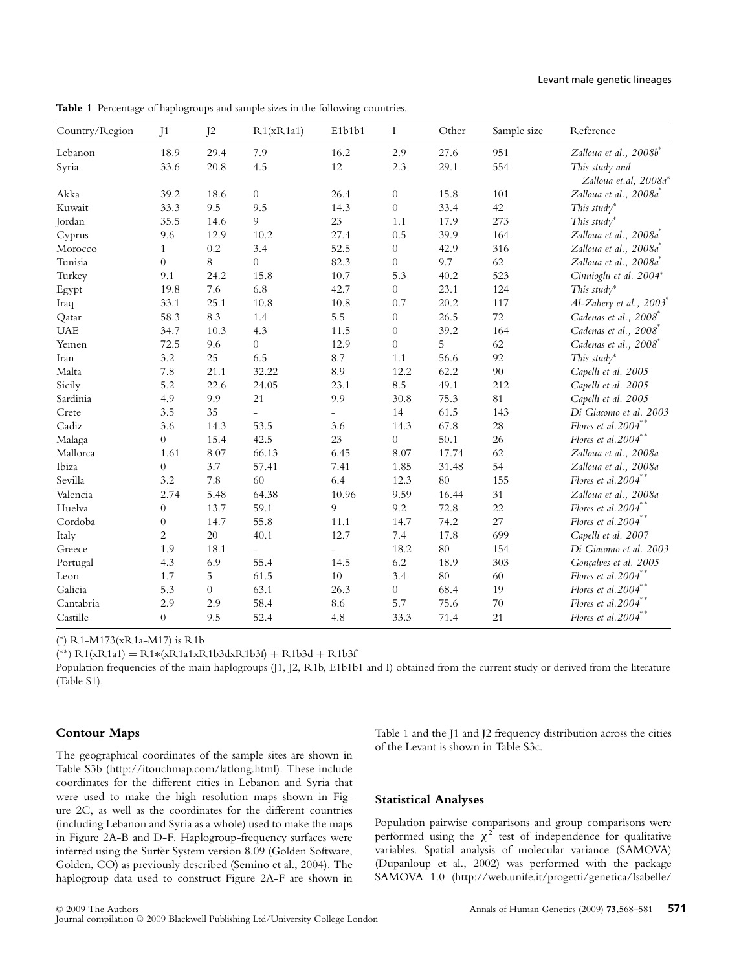#### Levant male genetic lineages

| Country/Region | J <sub>1</sub>   | J <sub>2</sub> | R1(xR1a1)                | E1b1b1                   | $\bf{I}$       | Other | Sample size | Reference                               |
|----------------|------------------|----------------|--------------------------|--------------------------|----------------|-------|-------------|-----------------------------------------|
| Lebanon        | 18.9             | 29.4           | 7.9                      | 16.2                     | 2.9            | 27.6  | 951         | Zalloua et al., 2008b*                  |
| Syria          | 33.6             | 20.8           | 4.5                      | 12                       | 2.3            | 29.1  | 554         | This study and<br>Zalloua et.al, 2008a* |
| Akka           | 39.2             | 18.6           | $\overline{0}$           | 26.4                     | $\overline{0}$ | 15.8  | 101         | Zalloua et al., 2008a                   |
| Kuwait         | 33.3             | 9.5            | 9.5                      | 14.3                     | $\overline{0}$ | 33.4  | 42          | This study*                             |
| Jordan         | 35.5             | 14.6           | 9                        | 23                       | 1.1            | 17.9  | 273         | This study*                             |
| Cyprus         | 9.6              | 12.9           | 10.2                     | 27.4                     | 0.5            | 39.9  | 164         | Zalloua et al., 2008a                   |
| Morocco        | $\mathbf{1}$     | $0.2\,$        | 3.4                      | 52.5                     | $\overline{0}$ | 42.9  | 316         | Zalloua et al., 2008a <sup>*</sup>      |
| Tunisia        | $\overline{0}$   | 8              | $\overline{0}$           | 82.3                     | $\overline{0}$ | 9.7   | 62          | Zalloua et al., 2008a <sup>®</sup>      |
| Turkey         | 9.1              | 24.2           | 15.8                     | 10.7                     | 5.3            | 40.2  | 523         | Cinnioglu et al. 2004*                  |
| Egypt          | 19.8             | 7.6            | 6.8                      | 42.7                     | $\overline{0}$ | 23.1  | 124         | This study*                             |
| Iraq           | 33.1             | 25.1           | 10.8                     | 10.8                     | 0.7            | 20.2  | 117         | $Al$ -Zahery et al., 2003               |
| Qatar          | 58.3             | 8.3            | 1.4                      | 5.5                      | $\overline{0}$ | 26.5  | 72          | Cadenas et al., 2008                    |
| <b>UAE</b>     | 34.7             | 10.3           | 4.3                      | 11.5                     | $\overline{0}$ | 39.2  | 164         | Cadenas et al., 2008 <sup>®</sup>       |
| Yemen          | 72.5             | 9.6            | $\overline{0}$           | 12.9                     | $\overline{0}$ | 5     | 62          | Cadenas et al., 2008 <sup>*</sup>       |
| Iran           | 3.2              | 25             | 6.5                      | 8.7                      | 1.1            | 56.6  | 92          | This study*                             |
| Malta          | 7.8              | 21.1           | 32.22                    | 8.9                      | 12.2           | 62.2  | 90          | Capelli et al. 2005                     |
| Sicily         | 5.2              | 22.6           | 24.05                    | 23.1                     | 8.5            | 49.1  | 212         | Capelli et al. 2005                     |
| Sardinia       | 4.9              | 9.9            | 21                       | 9.9                      | 30.8           | 75.3  | 81          | Capelli et al. 2005                     |
| Crete          | 3.5              | 35             | $\overline{\phantom{0}}$ | $\overline{\phantom{a}}$ | 14             | 61.5  | 143         | Di Giacomo et al. 2003                  |
| Cadiz          | 3.6              | 14.3           | 53.5                     | 3.6                      | 14.3           | 67.8  | $28\,$      | Flores et al.2004**                     |
| Malaga         | $\boldsymbol{0}$ | 15.4           | 42.5                     | 23                       | $\overline{0}$ | 50.1  | 26          | Flores et al.2004**                     |
| Mallorca       | 1.61             | 8.07           | 66.13                    | 6.45                     | 8.07           | 17.74 | 62          | Zalloua et al., 2008a                   |
| Ibiza          | $\boldsymbol{0}$ | 3.7            | 57.41                    | 7.41                     | 1.85           | 31.48 | 54          | Zalloua et al., 2008a                   |
| Sevilla        | 3.2              | 7.8            | 60                       | 6.4                      | 12.3           | 80    | 155         | Flores et al. $2004$ **                 |
| Valencia       | 2.74             | 5.48           | 64.38                    | 10.96                    | 9.59           | 16.44 | 31          | Zalloua et al., 2008a                   |
| Huelva         | $\boldsymbol{0}$ | 13.7           | 59.1                     | 9                        | 9.2            | 72.8  | 22          | Flores et al. $2004**$                  |
| Cordoba        | 0                | 14.7           | 55.8                     | 11.1                     | 14.7           | 74.2  | 27          | Flores et al.2004**                     |
| Italy          | 2                | 20             | 40.1                     | 12.7                     | 7.4            | 17.8  | 699         | Capelli et al. 2007                     |
| Greece         | 1.9              | 18.1           | $\overline{\phantom{0}}$ |                          | 18.2           | 80    | 154         | Di Giacomo et al. 2003                  |
| Portugal       | 4.3              | 6.9            | 55.4                     | 14.5                     | 6.2            | 18.9  | 303         | Gonçalves et al. 2005                   |
| Leon           | 1.7              | 5              | 61.5                     | 10                       | 3.4            | 80    | 60          | Flores et al. $2004$ <sup>*</sup>       |
| Galicia        | 5.3              | $\overline{0}$ | 63.1                     | 26.3                     | $\overline{0}$ | 68.4  | 19          | Flores et al. $2004$ **                 |
| Cantabria      | 2.9              | 2.9            | 58.4                     | 8.6                      | 5.7            | 75.6  | $70\,$      | Flores et al. $2004$ **                 |
| Castille       | $\overline{0}$   | 9.5            | 52.4                     | 4.8                      | 33.3           | 71.4  | 21          | Flores et al. $2004$ **                 |

**Table 1** Percentage of haplogroups and sample sizes in the following countries.

( <sup>∗</sup>) R1-M173(xR1a-M17) is R1b

( ∗∗) R1(xR1a1) = R1∗(xR1a1xR1b3dxR1b3f) + R1b3d + R1b3f

Population frequencies of the main haplogroups (J1, J2, R1b, E1b1b1 and I) obtained from the current study or derived from the literature (Table S1).

#### **Contour Maps**

The geographical coordinates of the sample sites are shown in Table S3b (http://itouchmap.com/latlong.html). These include coordinates for the different cities in Lebanon and Syria that were used to make the high resolution maps shown in Figure 2C, as well as the coordinates for the different countries (including Lebanon and Syria as a whole) used to make the maps in Figure 2A-B and D-F. Haplogroup-frequency surfaces were inferred using the Surfer System version 8.09 (Golden Software, Golden, CO) as previously described (Semino et al., 2004). The haplogroup data used to construct Figure 2A-F are shown in Table 1 and the J1 and J2 frequency distribution across the cities of the Levant is shown in Table S3c.

#### **Statistical Analyses**

Population pairwise comparisons and group comparisons were performed using the  $\chi^2$  test of independence for qualitative variables. Spatial analysis of molecular variance (SAMOVA) (Dupanloup et al., 2002) was performed with the package SAMOVA 1.0 (http://web.unife.it/progetti/genetica/Isabelle/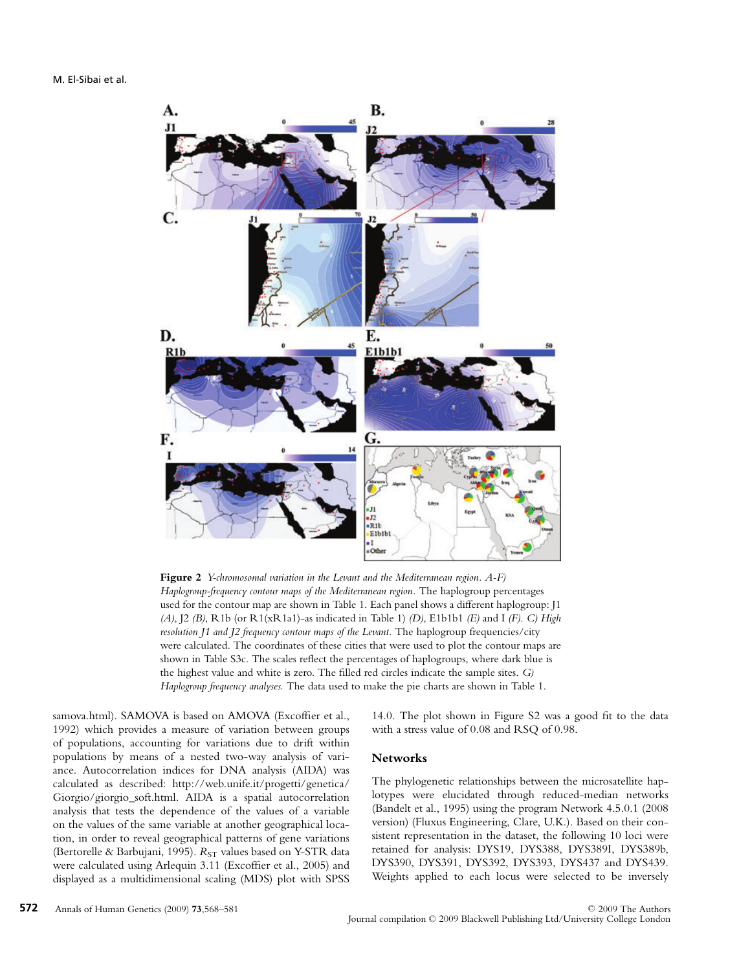

**Figure 2** *Y-chromosomal variation in the Levant and the Mediterranean region. A-F) Haplogroup-frequency contour maps of the Mediterranean region.* The haplogroup percentages used for the contour map are shown in Table 1. Each panel shows a different haplogroup: J1 *(A)*, J2 *(B)*, R1b (or R1(xR1a1)-as indicated in Table 1) *(D)*, E1b1b1 *(E)* and I *(F)*. *C) High resolution J1 and J2 frequency contour maps of the Levant.* The haplogroup frequencies/city were calculated. The coordinates of these cities that were used to plot the contour maps are shown in Table S3c. The scales reflect the percentages of haplogroups, where dark blue is the highest value and white is zero. The filled red circles indicate the sample sites. *G) Haplogroup frequency analyses.* The data used to make the pie charts are shown in Table 1.

samova.html). SAMOVA is based on AMOVA (Excoffier et al., 1992) which provides a measure of variation between groups of populations, accounting for variations due to drift within populations by means of a nested two-way analysis of variance. Autocorrelation indices for DNA analysis (AIDA) was calculated as described: http://web.unife.it/progetti/genetica/ Giorgio/giorgio\_soft.html. AIDA is a spatial autocorrelation analysis that tests the dependence of the values of a variable on the values of the same variable at another geographical location, in order to reveal geographical patterns of gene variations (Bertorelle & Barbujani, 1995).  $R_{ST}$  values based on Y-STR data were calculated using Arlequin 3.11 (Excoffier et al., 2005) and displayed as a multidimensional scaling (MDS) plot with SPSS 14.0. The plot shown in Figure S2 was a good fit to the data with a stress value of 0.08 and RSQ of 0.98.

#### **Networks**

The phylogenetic relationships between the microsatellite haplotypes were elucidated through reduced-median networks (Bandelt et al., 1995) using the program Network 4.5.0.1 (2008 version) (Fluxus Engineering, Clare, U.K.). Based on their consistent representation in the dataset, the following 10 loci were retained for analysis: DYS19, DYS388, DYS389I, DYS389b, DYS390, DYS391, DYS392, DYS393, DYS437 and DYS439. Weights applied to each locus were selected to be inversely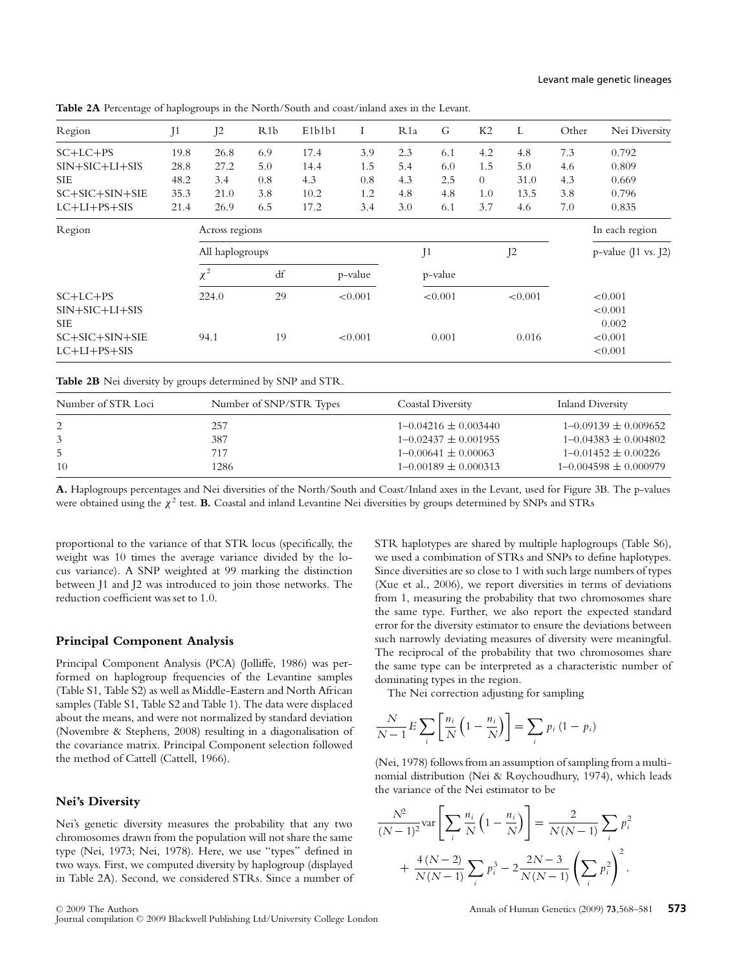| Region           | J1   | J <sub>2</sub>  | R <sub>1</sub> b | E <sub>1</sub> b <sub>1</sub> b <sub>1</sub> | I       | R <sub>1</sub> a | G       | K2             | L              | Other | Nei Diversity          |
|------------------|------|-----------------|------------------|----------------------------------------------|---------|------------------|---------|----------------|----------------|-------|------------------------|
| $SC+LC+PS$       | 19.8 | 26.8            | 6.9              | 17.4                                         | 3.9     | 2.3              | 6.1     | 4.2            | 4.8            | 7.3   | 0.792                  |
| $SIN+SIC+LI+SIS$ | 28.8 | 27.2            | 5.0              | 14.4                                         | 1.5     | 5.4              | 6.0     | 1.5            | 5.0            | 4.6   | 0.809                  |
| <b>SIE</b>       | 48.2 | 3.4             | 0.8              | 4.3                                          | 0.8     | 4.3              | 2.5     | $\overline{0}$ | 31.0           | 4.3   | 0.669                  |
| SC+SIC+SIN+SIE   | 35.3 | 21.0            | 3.8              | 10.2                                         | 1.2     | 4.8              | 4.8     | 1.0            | 13.5           | 3.8   | 0.796                  |
| $LC+LI+PS+SIS$   | 21.4 | 26.9            | 6.5              | 17.2                                         | 3.4     | 3.0              | 6.1     | 3.7            | 4.6            | 7.0   | 0.835                  |
| Region           |      | Across regions  |                  |                                              |         |                  |         |                |                |       | In each region         |
|                  |      | All haplogroups |                  |                                              |         |                  | J1      |                | J <sub>2</sub> |       | $p$ -value (J1 vs. J2) |
|                  |      | $\chi^2$        | df               |                                              | p-value |                  | p-value |                |                |       |                        |
| $SC+LC+PS$       |      | 224.0           | 29               |                                              | < 0.001 |                  | < 0.001 |                | < 0.001        |       | < 0.001                |
| $SIN+SIC+LI+SIS$ |      |                 |                  |                                              |         |                  |         |                |                |       | < 0.001                |
| <b>SIE</b>       |      |                 |                  |                                              |         |                  |         |                |                |       | 0.002                  |
| SC+SIC+SIN+SIE   |      | 94.1            | 19               |                                              | < 0.001 |                  | 0.001   |                | 0.016          |       | < 0.001                |
| $LC+LI+PS+SIS$   |      |                 |                  |                                              |         |                  |         |                |                |       | < 0.001                |

**Table 2A** Percentage of haplogroups in the North/South and coast/inland axes in the Levant.

**Table 2B** Nei diversity by groups determined by SNP and STR.

| Number of STR Loci | Number of SNP/STR Types | Coastal Diversity          | Inland Diversity            |
|--------------------|-------------------------|----------------------------|-----------------------------|
| 2                  | 257                     | $1 - 0.04216 \pm 0.003440$ | $1 - 0.09139 \pm 0.009652$  |
|                    | 387                     | $1 - 0.02437 \pm 0.001955$ | $1 - 0.04383 \pm 0.004802$  |
| 5                  | 717                     | $1 - 0.00641 \pm 0.00063$  | $1 - 0.01452 \pm 0.00226$   |
| 10                 | 1286                    | $1 - 0.00189 \pm 0.000313$ | $1 - 0.004598 \pm 0.000979$ |

**A.** Haplogroups percentages and Nei diversities of the North/South and Coast/Inland axes in the Levant, used for Figure 3B. The p-values were obtained using the χ<sup>2</sup> test. **B.** Coastal and inland Levantine Nei diversities by groups determined by SNPs and STRs

proportional to the variance of that STR locus (specifically, the weight was 10 times the average variance divided by the locus variance). A SNP weighted at 99 marking the distinction between J1 and J2 was introduced to join those networks. The reduction coefficient was set to 1.0.

#### **Principal Component Analysis**

Principal Component Analysis (PCA) (Jolliffe, 1986) was performed on haplogroup frequencies of the Levantine samples (Table S1, Table S2) as well as Middle-Eastern and North African samples (Table S1, Table S2 and Table 1). The data were displaced about the means, and were not normalized by standard deviation (Novembre & Stephens, 2008) resulting in a diagonalisation of the covariance matrix. Principal Component selection followed the method of Cattell (Cattell, 1966).

#### **Nei's Diversity**

Nei's genetic diversity measures the probability that any two chromosomes drawn from the population will not share the same type (Nei, 1973; Nei, 1978). Here, we use "types" defined in two ways. First, we computed diversity by haplogroup (displayed in Table 2A). Second, we considered STRs. Since a number of STR haplotypes are shared by multiple haplogroups (Table S6), we used a combination of STRs and SNPs to define haplotypes. Since diversities are so close to 1 with such large numbers of types (Xue et al., 2006), we report diversities in terms of deviations from 1, measuring the probability that two chromosomes share the same type. Further, we also report the expected standard error for the diversity estimator to ensure the deviations between such narrowly deviating measures of diversity were meaningful. The reciprocal of the probability that two chromosomes share the same type can be interpreted as a characteristic number of dominating types in the region.

The Nei correction adjusting for sampling

$$
\frac{N}{N-1}E\sum_{i}\left[\frac{n_{i}}{N}\left(1-\frac{n_{i}}{N}\right)\right]=\sum_{i}p_{i}\left(1-p_{i}\right)
$$

(Nei, 1978) follows from an assumption of sampling from a multinomial distribution (Nei & Roychoudhury, 1974), which leads the variance of the Nei estimator to be

$$
\frac{N^2}{(N-1)^2} \text{var}\left[\sum_i \frac{n_i}{N} \left(1 - \frac{n_i}{N}\right)\right] = \frac{2}{N(N-1)} \sum_i p_i^2 + \frac{4(N-2)}{N(N-1)} \sum_i p_i^3 - 2\frac{2N-3}{N(N-1)} \left(\sum_i p_i^2\right)^2.
$$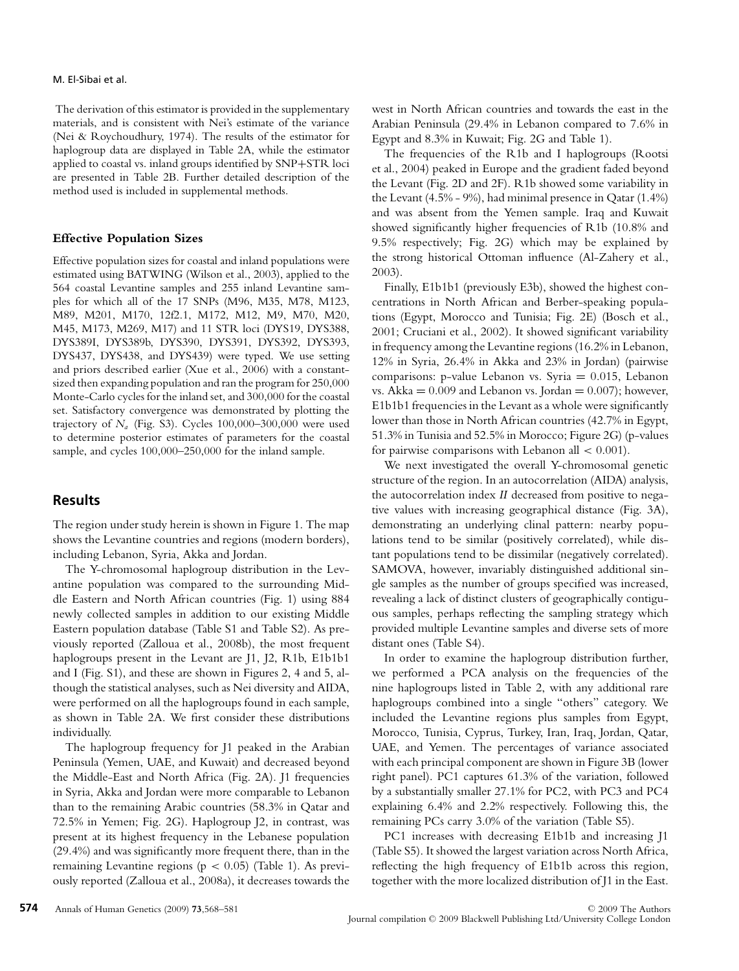#### M. El-Sibai et al.

The derivation of this estimator is provided in the supplementary materials, and is consistent with Nei's estimate of the variance (Nei & Roychoudhury, 1974). The results of the estimator for haplogroup data are displayed in Table 2A, while the estimator applied to coastal vs. inland groups identified by SNP+STR loci are presented in Table 2B. Further detailed description of the method used is included in supplemental methods.

#### **Effective Population Sizes**

Effective population sizes for coastal and inland populations were estimated using BATWING (Wilson et al., 2003), applied to the 564 coastal Levantine samples and 255 inland Levantine samples for which all of the 17 SNPs (M96, M35, M78, M123, M89, M201, M170, 12f2.1, M172, M12, M9, M70, M20, M45, M173, M269, M17) and 11 STR loci (DYS19, DYS388, DYS389I, DYS389b, DYS390, DYS391, DYS392, DYS393, DYS437, DYS438, and DYS439) were typed. We use setting and priors described earlier (Xue et al., 2006) with a constantsized then expanding population and ran the program for 250,000 Monte-Carlo cycles for the inland set, and 300,000 for the coastal set. Satisfactory convergence was demonstrated by plotting the trajectory of  $N_a$  (Fig. S3). Cycles  $100,000-300,000$  were used to determine posterior estimates of parameters for the coastal sample, and cycles 100,000–250,000 for the inland sample.

## **Results**

The region under study herein is shown in Figure 1. The map shows the Levantine countries and regions (modern borders), including Lebanon, Syria, Akka and Jordan.

The Y-chromosomal haplogroup distribution in the Levantine population was compared to the surrounding Middle Eastern and North African countries (Fig. 1) using 884 newly collected samples in addition to our existing Middle Eastern population database (Table S1 and Table S2). As previously reported (Zalloua et al., 2008b), the most frequent haplogroups present in the Levant are J1, J2, R1b, E1b1b1 and I (Fig. S1), and these are shown in Figures 2, 4 and 5, although the statistical analyses, such as Nei diversity and AIDA, were performed on all the haplogroups found in each sample, as shown in Table 2A. We first consider these distributions individually.

The haplogroup frequency for J1 peaked in the Arabian Peninsula (Yemen, UAE, and Kuwait) and decreased beyond the Middle-East and North Africa (Fig. 2A). J1 frequencies in Syria, Akka and Jordan were more comparable to Lebanon than to the remaining Arabic countries (58.3% in Qatar and 72.5% in Yemen; Fig. 2G). Haplogroup J2, in contrast, was present at its highest frequency in the Lebanese population (29.4%) and was significantly more frequent there, than in the remaining Levantine regions ( $p < 0.05$ ) (Table 1). As previously reported (Zalloua et al., 2008a), it decreases towards the west in North African countries and towards the east in the Arabian Peninsula (29.4% in Lebanon compared to 7.6% in Egypt and 8.3% in Kuwait; Fig. 2G and Table 1).

The frequencies of the R1b and I haplogroups (Rootsi et al., 2004) peaked in Europe and the gradient faded beyond the Levant (Fig. 2D and 2F). R1b showed some variability in the Levant (4.5% - 9%), had minimal presence in Qatar (1.4%) and was absent from the Yemen sample. Iraq and Kuwait showed significantly higher frequencies of R1b (10.8% and 9.5% respectively; Fig. 2G) which may be explained by the strong historical Ottoman influence (Al-Zahery et al., 2003).

Finally, E1b1b1 (previously E3b), showed the highest concentrations in North African and Berber-speaking populations (Egypt, Morocco and Tunisia; Fig. 2E) (Bosch et al., 2001; Cruciani et al., 2002). It showed significant variability in frequency among the Levantine regions (16.2% in Lebanon, 12% in Syria, 26.4% in Akka and 23% in Jordan) (pairwise comparisons: p-value Lebanon vs. Syria = 0.015, Lebanon vs.  $Akka = 0.009$  and Lebanon vs. Jordan = 0.007); however, E1b1b1 frequencies in the Levant as a whole were significantly lower than those in North African countries (42.7% in Egypt, 51.3% in Tunisia and 52.5% in Morocco; Figure 2G) (p-values for pairwise comparisons with Lebanon all  $< 0.001$ ).

We next investigated the overall Y-chromosomal genetic structure of the region. In an autocorrelation (AIDA) analysis, the autocorrelation index *II* decreased from positive to negative values with increasing geographical distance (Fig. 3A), demonstrating an underlying clinal pattern: nearby populations tend to be similar (positively correlated), while distant populations tend to be dissimilar (negatively correlated). SAMOVA, however, invariably distinguished additional single samples as the number of groups specified was increased, revealing a lack of distinct clusters of geographically contiguous samples, perhaps reflecting the sampling strategy which provided multiple Levantine samples and diverse sets of more distant ones (Table S4).

In order to examine the haplogroup distribution further, we performed a PCA analysis on the frequencies of the nine haplogroups listed in Table 2, with any additional rare haplogroups combined into a single "others" category. We included the Levantine regions plus samples from Egypt, Morocco, Tunisia, Cyprus, Turkey, Iran, Iraq, Jordan, Qatar, UAE, and Yemen. The percentages of variance associated with each principal component are shown in Figure 3B (lower right panel). PC1 captures 61.3% of the variation, followed by a substantially smaller 27.1% for PC2, with PC3 and PC4 explaining 6.4% and 2.2% respectively. Following this, the remaining PCs carry 3.0% of the variation (Table S5).

PC1 increases with decreasing E1b1b and increasing J1 (Table S5). It showed the largest variation across North Africa, reflecting the high frequency of E1b1b across this region, together with the more localized distribution of J1 in the East.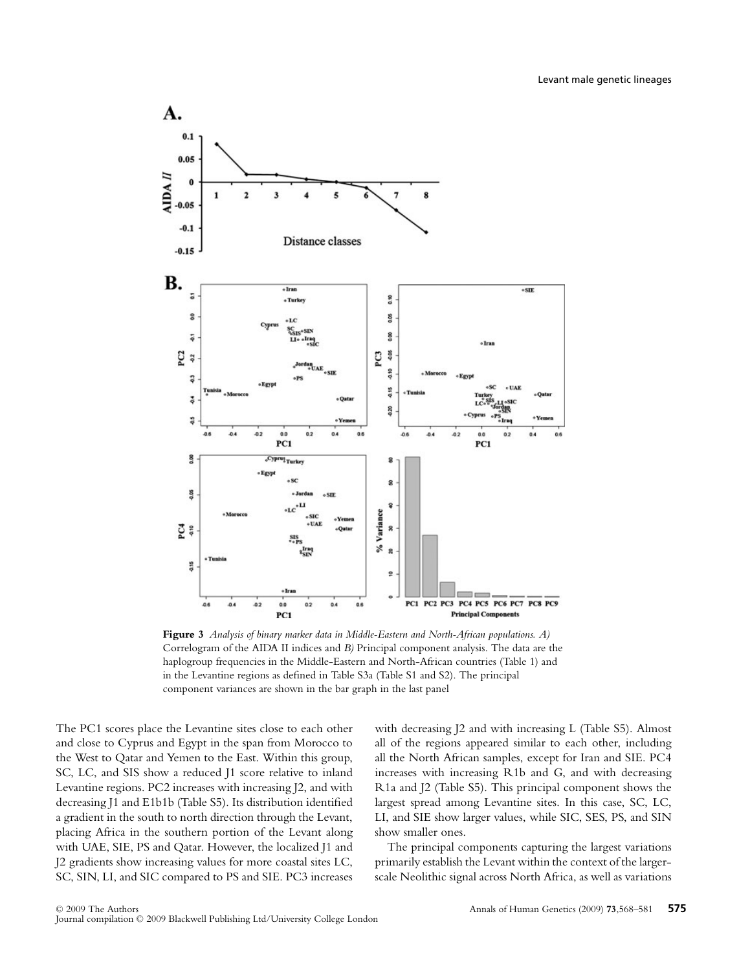

**Figure 3** *Analysis of binary marker data in Middle-Eastern and North-African populations. A)* Correlogram of the AIDA II indices and *B)* Principal component analysis. The data are the haplogroup frequencies in the Middle-Eastern and North-African countries (Table 1) and in the Levantine regions as defined in Table S3a (Table S1 and S2). The principal component variances are shown in the bar graph in the last panel

The PC1 scores place the Levantine sites close to each other and close to Cyprus and Egypt in the span from Morocco to the West to Qatar and Yemen to the East. Within this group, SC, LC, and SIS show a reduced  $11$  score relative to inland Levantine regions. PC2 increases with increasing J2, and with decreasing J1 and E1b1b (Table S5). Its distribution identified a gradient in the south to north direction through the Levant, placing Africa in the southern portion of the Levant along with UAE, SIE, PS and Qatar. However, the localized J1 and J2 gradients show increasing values for more coastal sites LC, SC, SIN, LI, and SIC compared to PS and SIE. PC3 increases with decreasing J2 and with increasing L (Table S5). Almost all of the regions appeared similar to each other, including all the North African samples, except for Iran and SIE. PC4 increases with increasing R1b and G, and with decreasing R1a and J2 (Table S5). This principal component shows the largest spread among Levantine sites. In this case, SC, LC, LI, and SIE show larger values, while SIC, SES, PS, and SIN show smaller ones.

The principal components capturing the largest variations primarily establish the Levant within the context of the largerscale Neolithic signal across North Africa, as well as variations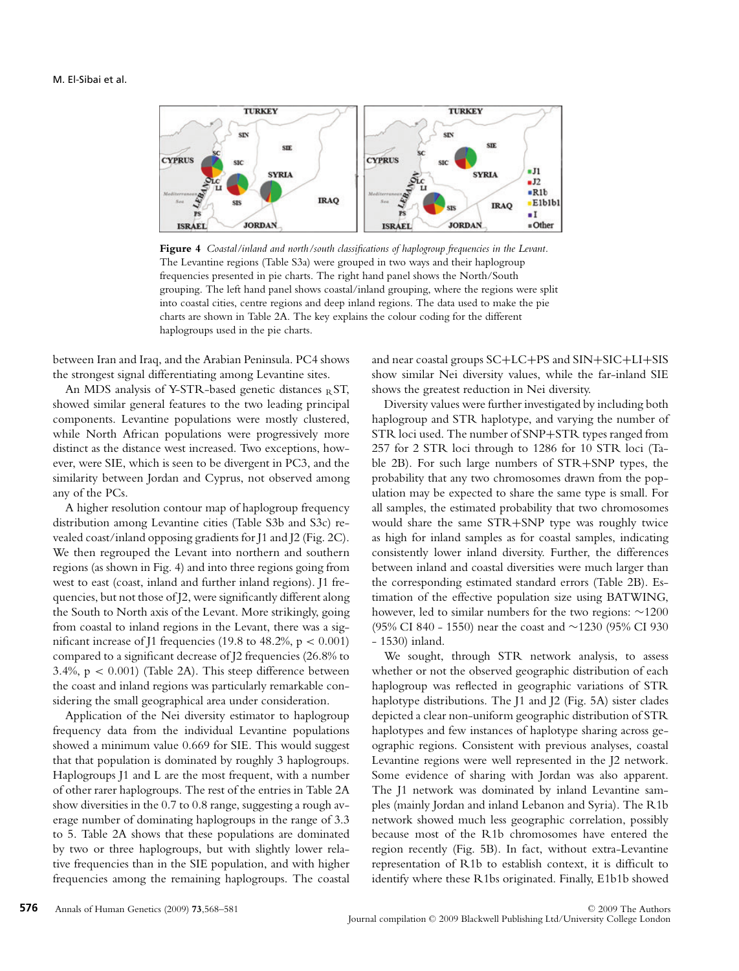

**Figure 4** *Coastal/inland and north/south classifications of haplogroup frequencies in the Levant.* The Levantine regions (Table S3a) were grouped in two ways and their haplogroup frequencies presented in pie charts. The right hand panel shows the North/South grouping. The left hand panel shows coastal/inland grouping, where the regions were split into coastal cities, centre regions and deep inland regions. The data used to make the pie charts are shown in Table 2A. The key explains the colour coding for the different haplogroups used in the pie charts.

between Iran and Iraq, and the Arabian Peninsula. PC4 shows the strongest signal differentiating among Levantine sites.

An MDS analysis of Y-STR-based genetic distances  $RST$ , showed similar general features to the two leading principal components. Levantine populations were mostly clustered, while North African populations were progressively more distinct as the distance west increased. Two exceptions, however, were SIE, which is seen to be divergent in PC3, and the similarity between Jordan and Cyprus, not observed among any of the PCs.

A higher resolution contour map of haplogroup frequency distribution among Levantine cities (Table S3b and S3c) revealed coast/inland opposing gradients for J1 and J2 (Fig. 2C). We then regrouped the Levant into northern and southern regions (as shown in Fig. 4) and into three regions going from west to east (coast, inland and further inland regions). J1 frequencies, but not those of J2, were significantly different along the South to North axis of the Levant. More strikingly, going from coastal to inland regions in the Levant, there was a significant increase of J1 frequencies (19.8 to 48.2%,  $p < 0.001$ ) compared to a significant decrease of J2 frequencies (26.8% to 3.4%,  $p < 0.001$ ) (Table 2A). This steep difference between the coast and inland regions was particularly remarkable considering the small geographical area under consideration.

Application of the Nei diversity estimator to haplogroup frequency data from the individual Levantine populations showed a minimum value 0.669 for SIE. This would suggest that that population is dominated by roughly 3 haplogroups. Haplogroups J1 and L are the most frequent, with a number of other rarer haplogroups. The rest of the entries in Table 2A show diversities in the 0.7 to 0.8 range, suggesting a rough average number of dominating haplogroups in the range of 3.3 to 5. Table 2A shows that these populations are dominated by two or three haplogroups, but with slightly lower relative frequencies than in the SIE population, and with higher frequencies among the remaining haplogroups. The coastal and near coastal groups SC+LC+PS and SIN+SIC+LI+SIS show similar Nei diversity values, while the far-inland SIE shows the greatest reduction in Nei diversity.

Diversity values were further investigated by including both haplogroup and STR haplotype, and varying the number of STR loci used. The number of SNP+STR types ranged from 257 for 2 STR loci through to 1286 for 10 STR loci (Table 2B). For such large numbers of STR+SNP types, the probability that any two chromosomes drawn from the population may be expected to share the same type is small. For all samples, the estimated probability that two chromosomes would share the same STR+SNP type was roughly twice as high for inland samples as for coastal samples, indicating consistently lower inland diversity. Further, the differences between inland and coastal diversities were much larger than the corresponding estimated standard errors (Table 2B). Estimation of the effective population size using BATWING, however, led to similar numbers for the two regions: ∼1200 (95% CI 840 - 1550) near the coast and ∼1230 (95% CI 930 - 1530) inland.

We sought, through STR network analysis, to assess whether or not the observed geographic distribution of each haplogroup was reflected in geographic variations of STR haplotype distributions. The J1 and J2 (Fig. 5A) sister clades depicted a clear non-uniform geographic distribution of STR haplotypes and few instances of haplotype sharing across geographic regions. Consistent with previous analyses, coastal Levantine regions were well represented in the J2 network. Some evidence of sharing with Jordan was also apparent. The J1 network was dominated by inland Levantine samples (mainly Jordan and inland Lebanon and Syria). The R1b network showed much less geographic correlation, possibly because most of the R1b chromosomes have entered the region recently (Fig. 5B). In fact, without extra-Levantine representation of R1b to establish context, it is difficult to identify where these R1bs originated. Finally, E1b1b showed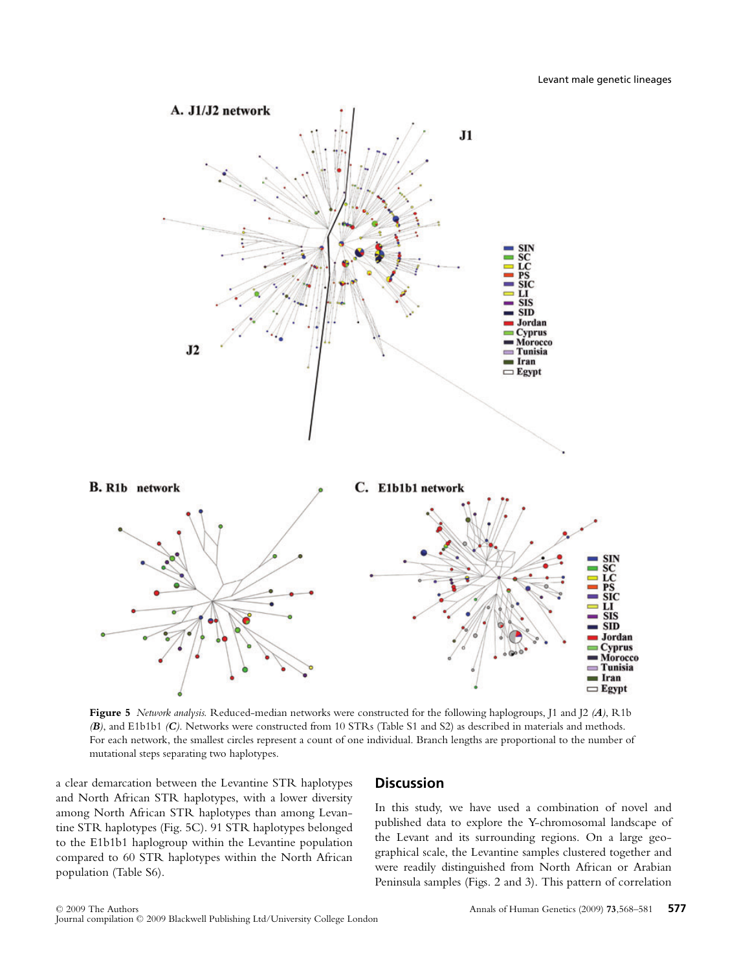

**Figure 5** *Network analysis.* Reduced-median networks were constructed for the following haplogroups, J1 and J2 *(A)*, R1b *(B)*, and E1b1b1 *(C)*. Networks were constructed from 10 STRs (Table S1 and S2) as described in materials and methods. For each network, the smallest circles represent a count of one individual. Branch lengths are proportional to the number of mutational steps separating two haplotypes.

a clear demarcation between the Levantine STR haplotypes and North African STR haplotypes, with a lower diversity among North African STR haplotypes than among Levantine STR haplotypes (Fig. 5C). 91 STR haplotypes belonged to the E1b1b1 haplogroup within the Levantine population compared to 60 STR haplotypes within the North African population (Table S6).

## **Discussion**

In this study, we have used a combination of novel and published data to explore the Y-chromosomal landscape of the Levant and its surrounding regions. On a large geographical scale, the Levantine samples clustered together and were readily distinguished from North African or Arabian Peninsula samples (Figs. 2 and 3). This pattern of correlation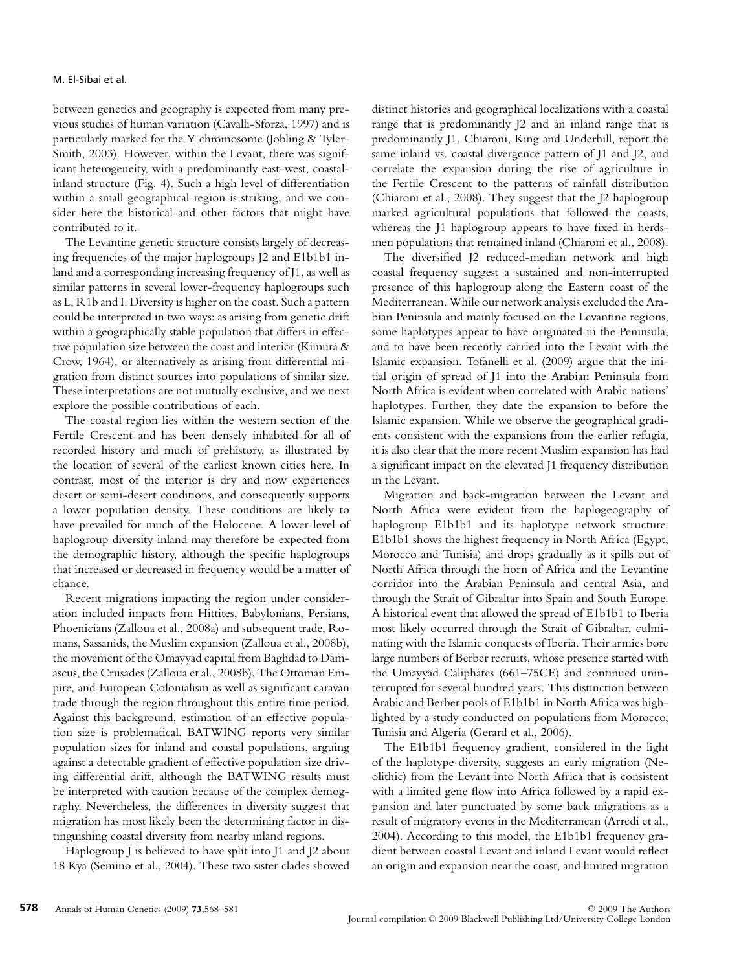between genetics and geography is expected from many previous studies of human variation (Cavalli-Sforza, 1997) and is particularly marked for the Y chromosome (Jobling & Tyler-Smith, 2003). However, within the Levant, there was significant heterogeneity, with a predominantly east-west, coastalinland structure (Fig. 4). Such a high level of differentiation within a small geographical region is striking, and we consider here the historical and other factors that might have contributed to it.

The Levantine genetic structure consists largely of decreasing frequencies of the major haplogroups J2 and E1b1b1 inland and a corresponding increasing frequency of J1, as well as similar patterns in several lower-frequency haplogroups such as L, R1b and I. Diversity is higher on the coast. Such a pattern could be interpreted in two ways: as arising from genetic drift within a geographically stable population that differs in effective population size between the coast and interior (Kimura & Crow, 1964), or alternatively as arising from differential migration from distinct sources into populations of similar size. These interpretations are not mutually exclusive, and we next explore the possible contributions of each.

The coastal region lies within the western section of the Fertile Crescent and has been densely inhabited for all of recorded history and much of prehistory, as illustrated by the location of several of the earliest known cities here. In contrast, most of the interior is dry and now experiences desert or semi-desert conditions, and consequently supports a lower population density. These conditions are likely to have prevailed for much of the Holocene. A lower level of haplogroup diversity inland may therefore be expected from the demographic history, although the specific haplogroups that increased or decreased in frequency would be a matter of chance.

Recent migrations impacting the region under consideration included impacts from Hittites, Babylonians, Persians, Phoenicians (Zalloua et al., 2008a) and subsequent trade, Romans, Sassanids, the Muslim expansion (Zalloua et al., 2008b), the movement of the Omayyad capital from Baghdad to Damascus, the Crusades (Zalloua et al., 2008b), The Ottoman Empire, and European Colonialism as well as significant caravan trade through the region throughout this entire time period. Against this background, estimation of an effective population size is problematical. BATWING reports very similar population sizes for inland and coastal populations, arguing against a detectable gradient of effective population size driving differential drift, although the BATWING results must be interpreted with caution because of the complex demography. Nevertheless, the differences in diversity suggest that migration has most likely been the determining factor in distinguishing coastal diversity from nearby inland regions.

Haplogroup J is believed to have split into J1 and J2 about 18 Kya (Semino et al., 2004). These two sister clades showed distinct histories and geographical localizations with a coastal range that is predominantly J2 and an inland range that is predominantly J1. Chiaroni, King and Underhill, report the same inland vs. coastal divergence pattern of J1 and J2, and correlate the expansion during the rise of agriculture in the Fertile Crescent to the patterns of rainfall distribution (Chiaroni et al., 2008). They suggest that the J2 haplogroup marked agricultural populations that followed the coasts, whereas the J1 haplogroup appears to have fixed in herdsmen populations that remained inland (Chiaroni et al., 2008).

The diversified J2 reduced-median network and high coastal frequency suggest a sustained and non-interrupted presence of this haplogroup along the Eastern coast of the Mediterranean. While our network analysis excluded the Arabian Peninsula and mainly focused on the Levantine regions, some haplotypes appear to have originated in the Peninsula, and to have been recently carried into the Levant with the Islamic expansion. Tofanelli et al. (2009) argue that the initial origin of spread of J1 into the Arabian Peninsula from North Africa is evident when correlated with Arabic nations' haplotypes. Further, they date the expansion to before the Islamic expansion. While we observe the geographical gradients consistent with the expansions from the earlier refugia, it is also clear that the more recent Muslim expansion has had a significant impact on the elevated J1 frequency distribution in the Levant.

Migration and back-migration between the Levant and North Africa were evident from the haplogeography of haplogroup E1b1b1 and its haplotype network structure. E1b1b1 shows the highest frequency in North Africa (Egypt, Morocco and Tunisia) and drops gradually as it spills out of North Africa through the horn of Africa and the Levantine corridor into the Arabian Peninsula and central Asia, and through the Strait of Gibraltar into Spain and South Europe. A historical event that allowed the spread of E1b1b1 to Iberia most likely occurred through the Strait of Gibraltar, culminating with the Islamic conquests of Iberia. Their armies bore large numbers of Berber recruits, whose presence started with the Umayyad Caliphates (661–75CE) and continued uninterrupted for several hundred years. This distinction between Arabic and Berber pools of E1b1b1 in North Africa was highlighted by a study conducted on populations from Morocco, Tunisia and Algeria (Gerard et al., 2006).

The E1b1b1 frequency gradient, considered in the light of the haplotype diversity, suggests an early migration (Neolithic) from the Levant into North Africa that is consistent with a limited gene flow into Africa followed by a rapid expansion and later punctuated by some back migrations as a result of migratory events in the Mediterranean (Arredi et al., 2004). According to this model, the E1b1b1 frequency gradient between coastal Levant and inland Levant would reflect an origin and expansion near the coast, and limited migration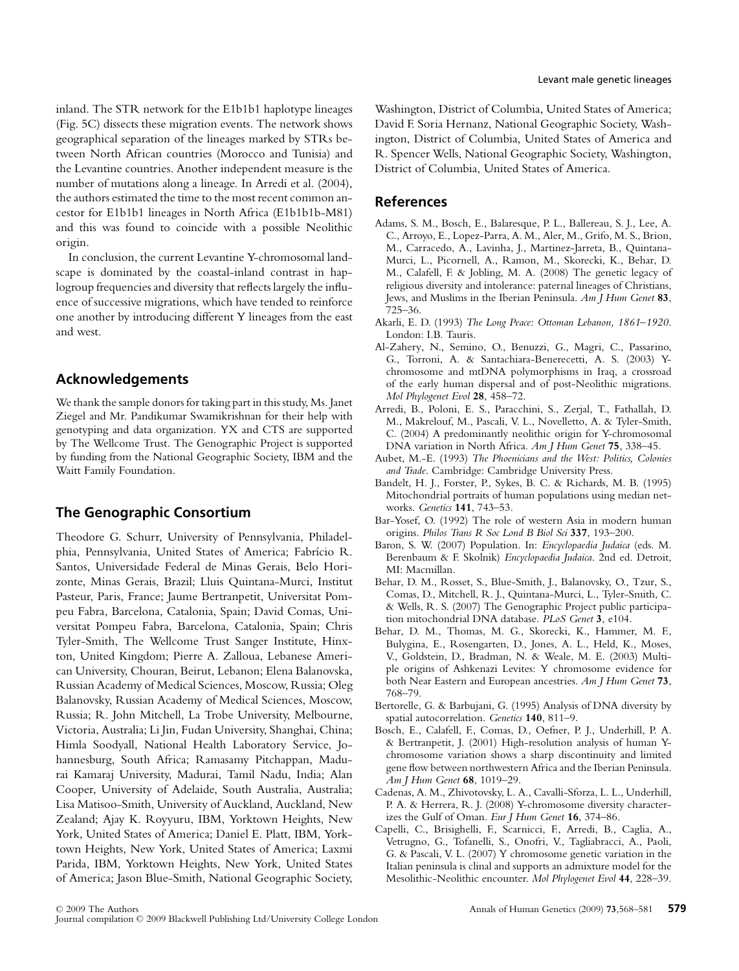inland. The STR network for the E1b1b1 haplotype lineages (Fig. 5C) dissects these migration events. The network shows geographical separation of the lineages marked by STRs between North African countries (Morocco and Tunisia) and the Levantine countries. Another independent measure is the number of mutations along a lineage. In Arredi et al. (2004), the authors estimated the time to the most recent common ancestor for E1b1b1 lineages in North Africa (E1b1b1b-M81) and this was found to coincide with a possible Neolithic origin.

In conclusion, the current Levantine Y-chromosomal landscape is dominated by the coastal-inland contrast in haplogroup frequencies and diversity that reflects largely the influence of successive migrations, which have tended to reinforce one another by introducing different Y lineages from the east and west.

# **Acknowledgements**

We thank the sample donors for taking part in this study, Ms. Janet Ziegel and Mr. Pandikumar Swamikrishnan for their help with genotyping and data organization. YX and CTS are supported by The Wellcome Trust. The Genographic Project is supported by funding from the National Geographic Society, IBM and the Waitt Family Foundation.

# **The Genographic Consortium**

Theodore G. Schurr, University of Pennsylvania, Philadelphia, Pennsylvania, United States of America; Fabrício R. Santos, Universidade Federal de Minas Gerais, Belo Horizonte, Minas Gerais, Brazil; Lluis Quintana-Murci, Institut Pasteur, Paris, France; Jaume Bertranpetit, Universitat Pompeu Fabra, Barcelona, Catalonia, Spain; David Comas, Universitat Pompeu Fabra, Barcelona, Catalonia, Spain; Chris Tyler-Smith, The Wellcome Trust Sanger Institute, Hinxton, United Kingdom; Pierre A. Zalloua, Lebanese American University, Chouran, Beirut, Lebanon; Elena Balanovska, Russian Academy of Medical Sciences, Moscow, Russia; Oleg Balanovsky, Russian Academy of Medical Sciences, Moscow, Russia; R. John Mitchell, La Trobe University, Melbourne, Victoria, Australia; Li Jin, Fudan University, Shanghai, China; Himla Soodyall, National Health Laboratory Service, Johannesburg, South Africa; Ramasamy Pitchappan, Madurai Kamaraj University, Madurai, Tamil Nadu, India; Alan Cooper, University of Adelaide, South Australia, Australia; Lisa Matisoo-Smith, University of Auckland, Auckland, New Zealand; Ajay K. Royyuru, IBM, Yorktown Heights, New York, United States of America; Daniel E. Platt, IBM, Yorktown Heights, New York, United States of America; Laxmi Parida, IBM, Yorktown Heights, New York, United States of America; Jason Blue-Smith, National Geographic Society, Washington, District of Columbia, United States of America; David F. Soria Hernanz, National Geographic Society, Washington, District of Columbia, United States of America and R. Spencer Wells, National Geographic Society, Washington, District of Columbia, United States of America.

## **References**

- Adams, S. M., Bosch, E., Balaresque, P. L., Ballereau, S. J., Lee, A. C., Arroyo, E., Lopez-Parra, A. M., Aler, M., Grifo, M. S., Brion, M., Carracedo, A., Lavinha, J., Martinez-Jarreta, B., Quintana-Murci, L., Picornell, A., Ramon, M., Skorecki, K., Behar, D. M., Calafell, F. & Jobling, M. A. (2008) The genetic legacy of religious diversity and intolerance: paternal lineages of Christians, Jews, and Muslims in the Iberian Peninsula. *Am J Hum Genet* **83**, 725–36.
- Akarli, E. D. (1993) *The Long Peace: Ottoman Lebanon, 1861–1920*. London: I.B. Tauris.
- Al-Zahery, N., Semino, O., Benuzzi, G., Magri, C., Passarino, G., Torroni, A. & Santachiara-Benerecetti, A. S. (2003) Ychromosome and mtDNA polymorphisms in Iraq, a crossroad of the early human dispersal and of post-Neolithic migrations. *Mol Phylogenet Evol* **28**, 458–72.
- Arredi, B., Poloni, E. S., Paracchini, S., Zerjal, T., Fathallah, D. M., Makrelouf, M., Pascali, V. L., Novelletto, A. & Tyler-Smith, C. (2004) A predominantly neolithic origin for Y-chromosomal DNA variation in North Africa. *Am J Hum Genet* **75**, 338–45.
- Aubet, M.-E. (1993) *The Phoenicians and the West: Politics, Colonies and Trade*. Cambridge: Cambridge University Press.
- Bandelt, H. J., Forster, P., Sykes, B. C. & Richards, M. B. (1995) Mitochondrial portraits of human populations using median networks. *Genetics* **141**, 743–53.
- Bar-Yosef, O. (1992) The role of western Asia in modern human origins. *Philos Trans R Soc Lond B Biol Sci* **337**, 193–200.
- Baron, S. W. (2007) Population. In: *Encyclopaedia Judaica* (eds. M. Berenbaum & F. Skolnik) *Encyclopaedia Judaica*. 2nd ed. Detroit, MI: Macmillan.
- Behar, D. M., Rosset, S., Blue-Smith, J., Balanovsky, O., Tzur, S., Comas, D., Mitchell, R. J., Quintana-Murci, L., Tyler-Smith, C. & Wells, R. S. (2007) The Genographic Project public participation mitochondrial DNA database. *PLoS Genet* **3**, e104.
- Behar, D. M., Thomas, M. G., Skorecki, K., Hammer, M. F., Bulygina, E., Rosengarten, D., Jones, A. L., Held, K., Moses, V., Goldstein, D., Bradman, N. & Weale, M. E. (2003) Multiple origins of Ashkenazi Levites: Y chromosome evidence for both Near Eastern and European ancestries. *Am J Hum Genet* **73**, 768–79.
- Bertorelle, G. & Barbujani, G. (1995) Analysis of DNA diversity by spatial autocorrelation. *Genetics* **140**, 811–9.
- Bosch, E., Calafell, F., Comas, D., Oefner, P. J., Underhill, P. A. & Bertranpetit, J. (2001) High-resolution analysis of human Ychromosome variation shows a sharp discontinuity and limited gene flow between northwestern Africa and the Iberian Peninsula. *Am J Hum Genet* **68**, 1019–29.
- Cadenas, A. M., Zhivotovsky, L. A., Cavalli-Sforza, L. L., Underhill, P. A. & Herrera, R. J. (2008) Y-chromosome diversity characterizes the Gulf of Oman. *Eur J Hum Genet* **16**, 374–86.
- Capelli, C., Brisighelli, F., Scarnicci, F., Arredi, B., Caglia, A., Vetrugno, G., Tofanelli, S., Onofri, V., Tagliabracci, A., Paoli, G. & Pascali, V. L. (2007) Y chromosome genetic variation in the Italian peninsula is clinal and supports an admixture model for the Mesolithic-Neolithic encounter. *Mol Phylogenet Evol* **44**, 228–39.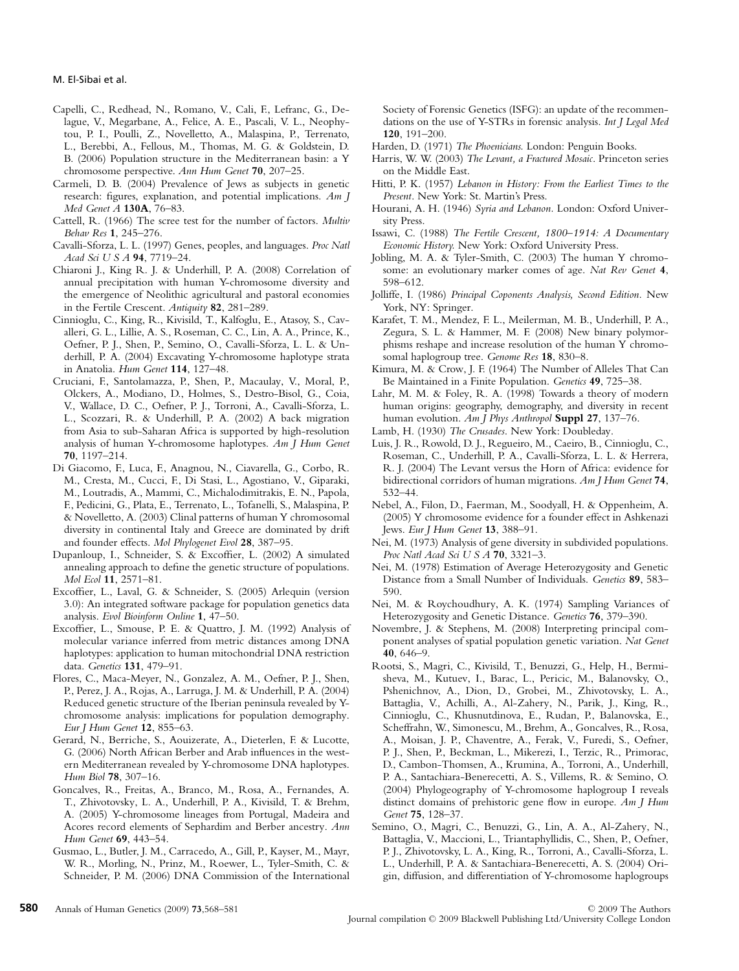- Capelli, C., Redhead, N., Romano, V., Cali, F., Lefranc, G., Delague, V., Megarbane, A., Felice, A. E., Pascali, V. L., Neophytou, P. I., Poulli, Z., Novelletto, A., Malaspina, P., Terrenato, L., Berebbi, A., Fellous, M., Thomas, M. G. & Goldstein, D. B. (2006) Population structure in the Mediterranean basin: a Y chromosome perspective. *Ann Hum Genet* **70**, 207–25.
- Carmeli, D. B. (2004) Prevalence of Jews as subjects in genetic research: figures, explanation, and potential implications. *Am J Med Genet A* **130A**, 76–83.
- Cattell, R. (1966) The scree test for the number of factors. *Multiv Behav Res* **1**, 245–276.
- Cavalli-Sforza, L. L. (1997) Genes, peoples, and languages. *Proc Natl Acad Sci U S A* **94**, 7719–24.
- Chiaroni J., King R. J. & Underhill, P. A. (2008) Correlation of annual precipitation with human Y-chromosome diversity and the emergence of Neolithic agricultural and pastoral economies in the Fertile Crescent. *Antiquity* **82**, 281–289.
- Cinnioglu, C., King, R., Kivisild, T., Kalfoglu, E., Atasoy, S., Cavalleri, G. L., Lillie, A. S., Roseman, C. C., Lin, A. A., Prince, K., Oefner, P. J., Shen, P., Semino, O., Cavalli-Sforza, L. L. & Underhill, P. A. (2004) Excavating Y-chromosome haplotype strata in Anatolia. *Hum Genet* **114**, 127–48.
- Cruciani, F., Santolamazza, P., Shen, P., Macaulay, V., Moral, P., Olckers, A., Modiano, D., Holmes, S., Destro-Bisol, G., Coia, V., Wallace, D. C., Oefner, P. J., Torroni, A., Cavalli-Sforza, L. L., Scozzari, R. & Underhill, P. A. (2002) A back migration from Asia to sub-Saharan Africa is supported by high-resolution analysis of human Y-chromosome haplotypes. *Am J Hum Genet* **70**, 1197–214.
- Di Giacomo, F., Luca, F., Anagnou, N., Ciavarella, G., Corbo, R. M., Cresta, M., Cucci, F., Di Stasi, L., Agostiano, V., Giparaki, M., Loutradis, A., Mammi, C., Michalodimitrakis, E. N., Papola, F., Pedicini, G., Plata, E., Terrenato, L., Tofanelli, S., Malaspina, P. & Novelletto, A. (2003) Clinal patterns of human Y chromosomal diversity in continental Italy and Greece are dominated by drift and founder effects. *Mol Phylogenet Evol* **28**, 387–95.
- Dupanloup, I., Schneider, S. & Excoffier, L. (2002) A simulated annealing approach to define the genetic structure of populations. *Mol Ecol* **11**, 2571–81.
- Excoffier, L., Laval, G. & Schneider, S. (2005) Arlequin (version 3.0): An integrated software package for population genetics data analysis. *Evol Bioinform Online* **1**, 47–50.
- Excoffier, L., Smouse, P. E. & Quattro, J. M. (1992) Analysis of molecular variance inferred from metric distances among DNA haplotypes: application to human mitochondrial DNA restriction data. *Genetics* **131**, 479–91.
- Flores, C., Maca-Meyer, N., Gonzalez, A. M., Oefner, P. J., Shen, P., Perez, J. A., Rojas, A., Larruga, J. M. & Underhill, P. A. (2004) Reduced genetic structure of the Iberian peninsula revealed by Ychromosome analysis: implications for population demography. *Eur J Hum Genet* **12**, 855–63.
- Gerard, N., Berriche, S., Aouizerate, A., Dieterlen, F. & Lucotte, G. (2006) North African Berber and Arab influences in the western Mediterranean revealed by Y-chromosome DNA haplotypes. *Hum Biol* **78**, 307–16.
- Goncalves, R., Freitas, A., Branco, M., Rosa, A., Fernandes, A. T., Zhivotovsky, L. A., Underhill, P. A., Kivisild, T. & Brehm, A. (2005) Y-chromosome lineages from Portugal, Madeira and Acores record elements of Sephardim and Berber ancestry. *Ann Hum Genet* **69**, 443–54.
- Gusmao, L., Butler, J. M., Carracedo, A., Gill, P., Kayser, M., Mayr, W. R., Morling, N., Prinz, M., Roewer, L., Tyler-Smith, C. & Schneider, P. M. (2006) DNA Commission of the International

Society of Forensic Genetics (ISFG): an update of the recommendations on the use of Y-STRs in forensic analysis. *Int J Legal Med* **120**, 191–200.

- Harden, D. (1971) *The Phoenicians.* London: Penguin Books.
- Harris, W. W. (2003) *The Levant, a Fractured Mosaic*. Princeton series on the Middle East.
- Hitti, P. K. (1957) *Lebanon in History: From the Earliest Times to the Present*. New York: St. Martin's Press.
- Hourani, A. H. (1946) *Syria and Lebanon.* London: Oxford University Press.
- Issawi, C. (1988) *The Fertile Crescent, 1800–1914: A Documentary Economic History.* New York: Oxford University Press.
- Jobling, M. A. & Tyler-Smith, C. (2003) The human Y chromosome: an evolutionary marker comes of age. *Nat Rev Genet* **4**, 598–612.
- Jolliffe, I. (1986) *Principal Coponents Analysis, Second Edition.* New York, NY: Springer.
- Karafet, T. M., Mendez, F. L., Meilerman, M. B., Underhill, P. A., Zegura, S. L. & Hammer, M. F. (2008) New binary polymorphisms reshape and increase resolution of the human Y chromosomal haplogroup tree. *Genome Res* **18**, 830–8.
- Kimura, M. & Crow, J. F. (1964) The Number of Alleles That Can Be Maintained in a Finite Population. *Genetics* **49**, 725–38.
- Lahr, M. M. & Foley, R. A. (1998) Towards a theory of modern human origins: geography, demography, and diversity in recent human evolution. *Am J Phys Anthropol* **Suppl 27**, 137–76.
- Lamb, H. (1930) *The Crusades*. New York: Doubleday.
- Luis, J. R., Rowold, D. J., Regueiro, M., Caeiro, B., Cinnioglu, C., Roseman, C., Underhill, P. A., Cavalli-Sforza, L. L. & Herrera, R. J. (2004) The Levant versus the Horn of Africa: evidence for bidirectional corridors of human migrations. *Am J Hum Genet* **74**, 532–44.
- Nebel, A., Filon, D., Faerman, M., Soodyall, H. & Oppenheim, A. (2005) Y chromosome evidence for a founder effect in Ashkenazi Jews. *Eur J Hum Genet* **13**, 388–91.
- Nei, M. (1973) Analysis of gene diversity in subdivided populations. *Proc Natl Acad Sci U S A* **70**, 3321–3.
- Nei, M. (1978) Estimation of Average Heterozygosity and Genetic Distance from a Small Number of Individuals. *Genetics* **89**, 583– 590.
- Nei, M. & Roychoudhury, A. K. (1974) Sampling Variances of Heterozygosity and Genetic Distance. *Genetics* **76**, 379–390.
- Novembre, J. & Stephens, M. (2008) Interpreting principal component analyses of spatial population genetic variation. *Nat Genet* **40**, 646–9.
- Rootsi, S., Magri, C., Kivisild, T., Benuzzi, G., Help, H., Bermisheva, M., Kutuev, I., Barac, L., Pericic, M., Balanovsky, O., Pshenichnov, A., Dion, D., Grobei, M., Zhivotovsky, L. A., Battaglia, V., Achilli, A., Al-Zahery, N., Parik, J., King, R., Cinnioglu, C., Khusnutdinova, E., Rudan, P., Balanovska, E., Scheffrahn, W., Simonescu, M., Brehm, A., Goncalves, R., Rosa, A., Moisan, J. P., Chaventre, A., Ferak, V., Furedi, S., Oefner, P. J., Shen, P., Beckman, L., Mikerezi, I., Terzic, R., Primorac, D., Cambon-Thomsen, A., Krumina, A., Torroni, A., Underhill, P. A., Santachiara-Benerecetti, A. S., Villems, R. & Semino, O. (2004) Phylogeography of Y-chromosome haplogroup I reveals distinct domains of prehistoric gene flow in europe. *Am J Hum Genet* **75**, 128–37.
- Semino, O., Magri, C., Benuzzi, G., Lin, A. A., Al-Zahery, N., Battaglia, V., Maccioni, L., Triantaphyllidis, C., Shen, P., Oefner, P. J., Zhivotovsky, L. A., King, R., Torroni, A., Cavalli-Sforza, L. L., Underhill, P. A. & Santachiara-Benerecetti, A. S. (2004) Origin, diffusion, and differentiation of Y-chromosome haplogroups